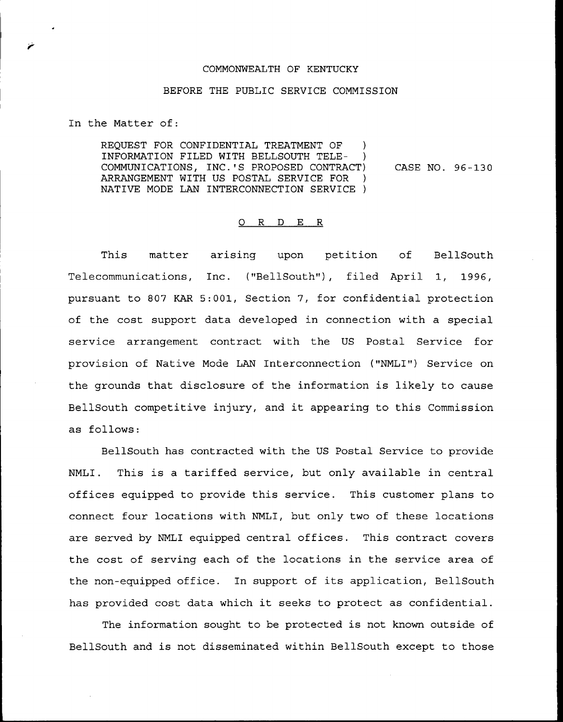## COMMONWEALTH OF KENTUCKY

## BEFORE THE PUBLIC SERVICE COMMISSION

In the Matter of:

REQUEST FOR CONFIDENTIAL TREATMENT OF ) INFORMATION FILED WITH BELLSOUTH TELE-COMMUNICATIONS, INC.'S PROPOSED CONTRACT) ARRANGEMENT WITH US POSTAL SERVICE FOR ) NATIVE MODE LAN INTERCONNECTION SERVICE ) CASE NO. 96-130

## O R D E R

This matter arising upon petition of BellSouth Telecommunications, Inc. ('"BellSouth"), filed April 1, 1996, pursuant to 807 KAR 5:001, Section 7, for confidential protection of the cost support data developed in connection with a special service arrangement contract with the US Postal Service for provision of Native Mode LAN Interconnection ("NMLI") Service on the grounds that disclosure of the information is likely to cause BellSouth competitive injury, and it appearing to this Commission as follows:

BellSouth has contracted with the US Postal Service to provide NMLI. This is a tariffed service, but only available in central offices equipped to provide this service. This customer plans to connect four locations with NMLI, but only two of these locations are served by NMLI equipped central offices. This contract covers the cost of serving each of the locations in the service area of the non-equipped office. In support of its application, BellSouth has provided cost data which it seeks to protect as confidential.

The information sought to be protected is not known outside of BellSouth and is not disseminated within BellSouth except to those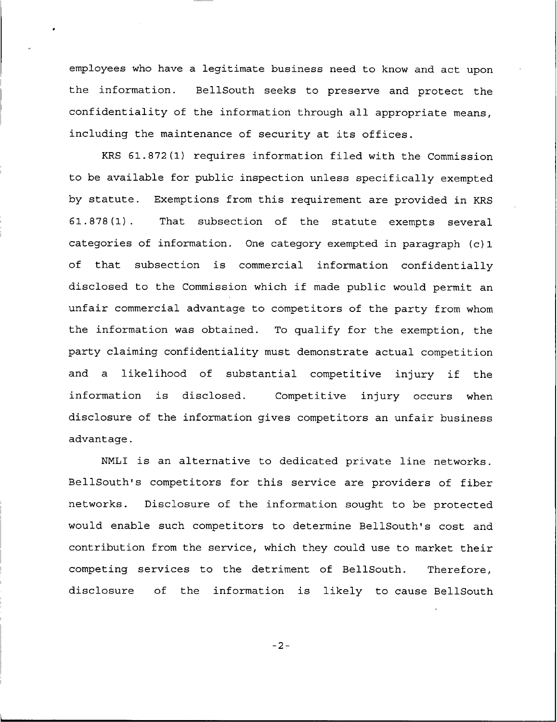employees who have a legitimate business need to know and act upon the information. BellSouth seeks to preserve and protect the confidentiality of the information through all appropriate means, including the maintenance of security at its offices.

KRS 61.872(1) requires information filed with the Commission to be available for public inspection unless specifically exempted by statute. Exemptions from this requirement are provided in KRS 61.878(1). That subsection of the statute exempts several categories of information. One category exempted in paragraph (c) 1 of that subsection is commercial information confidentially disclosed to the Commission which if made public would permit an unfair commercial advantage to competitors of the party from whom the information was obtained. To qualify for the exemption, the party claiming confidentiality must demonstrate actual competition and <sup>a</sup> likelihood of substantial competitive injury if the information is disclosed. Competitive injury occurs when disclosure of the information gives competitors an unfair business advantage.

NNLI is an alternative to dedicated private line networks. BellSouth's competitors for this service are providers of fiber networks. Disclosure of the information sought to be protected would enable such competitors to determine BellSouth's cost and contribution from the service, which they could use to market their competing services to the detriment of BellSouth. Therefore, disclosure of the information is likely to cause BellSouth

 $-2-$